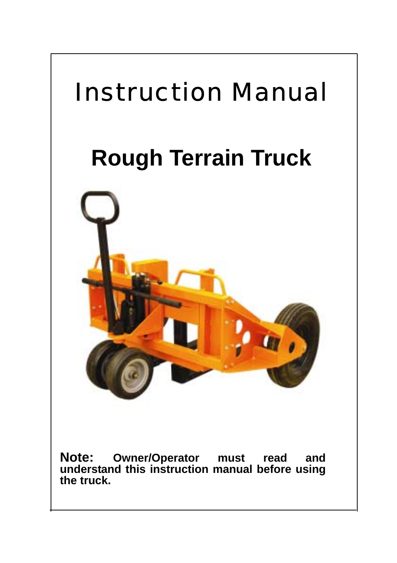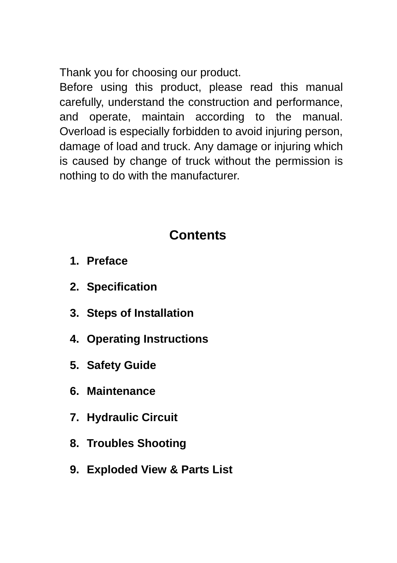Thank you for choosing our product.

Before using this product, please read this manual carefully, understand the construction and performance, and operate, maintain according to the manual. Overload is especially forbidden to avoid injuring person, damage of load and truck. Any damage or injuring which is caused by change of truck without the permission is nothing to do with the manufacturer.

## **Contents**

- **1. Preface**
- **2. Specification**
- **3. Steps of Installation**
- **4. Operating Instructions**
- **5. Safety Guide**
- **6. Maintenance**
- **7. Hydraulic Circuit**
- **8. Troubles Shooting**
- **9. Exploded View & Parts List**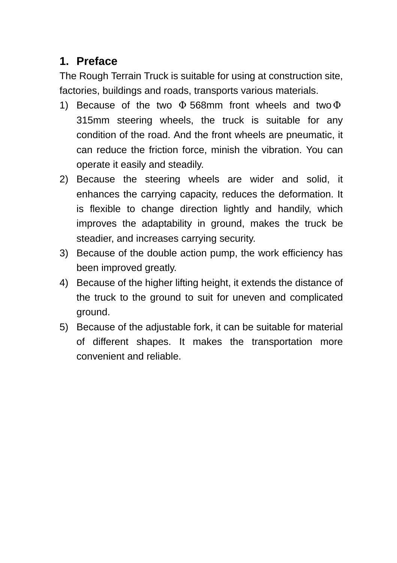#### **1. Preface**

The Rough Terrain Truck is suitable for using at construction site, factories, buildings and roads, transports various materials.

- 1) Because of the two 568mm front wheels and two 315mm steering wheels, the truck is suitable for any condition of the road. And the front wheels are pneumatic, it can reduce the friction force, minish the vibration. You can operate it easily and steadily.
- 2) Because the steering wheels are wider and solid, it enhances the carrying capacity, reduces the deformation. It is flexible to change direction lightly and handily, which improves the adaptability in ground, makes the truck be steadier, and increases carrying security.
- 3) Because of the double action pump, the work efficiency has been improved greatly.
- 4) Because of the higher lifting height, it extends the distance of the truck to the ground to suit for uneven and complicated ground.
- 5) Because of the adjustable fork, it can be suitable for material of different shapes. It makes the transportation more convenient and reliable.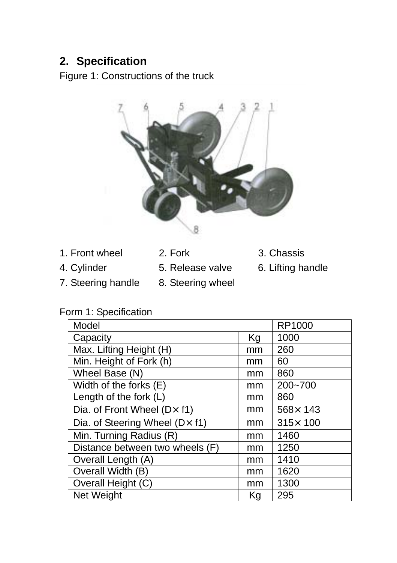## **2. Specification**

Figure 1: Constructions of the truck



- 1. Front wheel 2. Fork 3. Chassis
- 
- 
- 
- 7. Steering handle 8. Steering wheel
- -
- 
- 4. Cylinder 5. Release valve 6. Lifting handle

|  |  | Form 1: Specification |
|--|--|-----------------------|
|--|--|-----------------------|

| Model                                    |    | RP1000           |
|------------------------------------------|----|------------------|
| Capacity                                 | Kg | 1000             |
| Max. Lifting Height (H)                  | mm | 260              |
| Min. Height of Fork (h)                  | mm | 60               |
| Wheel Base (N)                           | mm | 860              |
| Width of the forks (E)                   | mm | 200~700          |
| Length of the fork (L)                   | mm | 860              |
| Dia. of Front Wheel $(D \times f1)$      | mm | $568 \times 143$ |
| Dia. of Steering Wheel ( $D \times f1$ ) | mm | $315 \times 100$ |
| Min. Turning Radius (R)                  | mm | 1460             |
| Distance between two wheels (F)          | mm | 1250             |
| Overall Length (A)                       | mm | 1410             |
| Overall Width (B)                        | mm | 1620             |
| Overall Height (C)                       | mm | 1300             |
| Net Weight                               | Kg | 295              |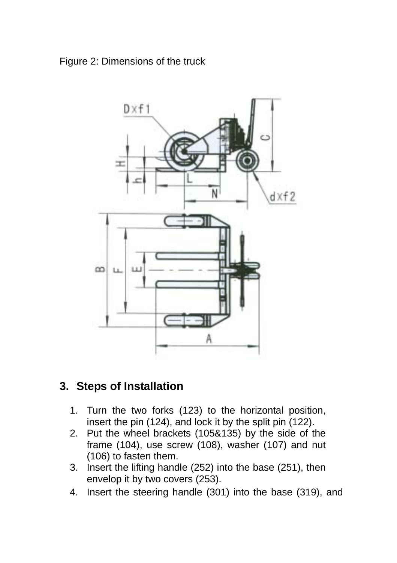#### Figure 2: Dimensions of the truck



#### **3. Steps of Installation**

- 1. Turn the two forks (123) to the horizontal position, insert the pin (124), and lock it by the split pin (122).
- 2. Put the wheel brackets (105&135) by the side of the frame (104), use screw (108), washer (107) and nut (106) to fasten them.
- 3. Insert the lifting handle (252) into the base (251), then envelop it by two covers (253).
- 4. Insert the steering handle (301) into the base (319), and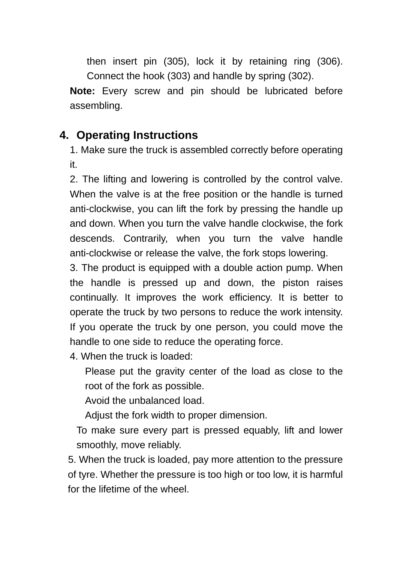then insert pin (305), lock it by retaining ring (306). Connect the hook (303) and handle by spring (302).

**Note:** Every screw and pin should be lubricated before assembling.

#### **4. Operating Instructions**

1. Make sure the truck is assembled correctly before operating it.

2. The lifting and lowering is controlled by the control valve. When the valve is at the free position or the handle is turned anti-clockwise, you can lift the fork by pressing the handle up and down. When you turn the valve handle clockwise, the fork descends. Contrarily, when you turn the valve handle anti-clockwise or release the valve, the fork stops lowering.

3. The product is equipped with a double action pump. When the handle is pressed up and down, the piston raises continually. It improves the work efficiency. It is better to operate the truck by two persons to reduce the work intensity. If you operate the truck by one person, you could move the handle to one side to reduce the operating force.

4. When the truck is loaded:

Please put the gravity center of the load as close to the root of the fork as possible.

Avoid the unbalanced load.

Adjust the fork width to proper dimension.

To make sure every part is pressed equably, lift and lower smoothly, move reliably.

5. When the truck is loaded, pay more attention to the pressure of tyre. Whether the pressure is too high or too low, it is harmful for the lifetime of the wheel.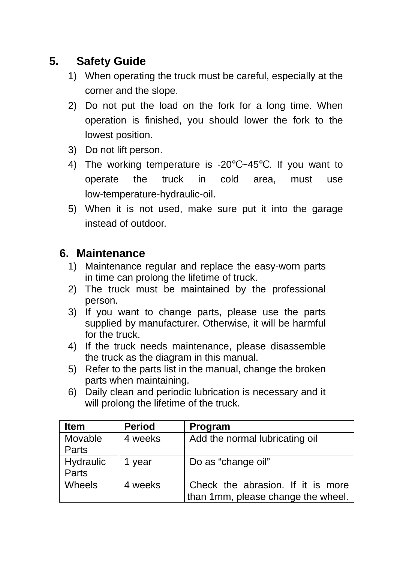## **5. Safety Guide**

- 1) When operating the truck must be careful, especially at the corner and the slope.
- 2) Do not put the load on the fork for a long time. When operation is finished, you should lower the fork to the lowest position.
- 3) Do not lift person.
- 4) The working temperature is -20 ~45 . If you want to operate the truck in cold area, must use low-temperature-hydraulic-oil.
- 5) When it is not used, make sure put it into the garage instead of outdoor.

#### **6. Maintenance**

- 1) Maintenance regular and replace the easy-worn parts in time can prolong the lifetime of truck.
- 2) The truck must be maintained by the professional person.
- 3) If you want to change parts, please use the parts supplied by manufacturer. Otherwise, it will be harmful for the truck.
- 4) If the truck needs maintenance, please disassemble the truck as the diagram in this manual.
- 5) Refer to the parts list in the manual, change the broken parts when maintaining.
- 6) Daily clean and periodic lubrication is necessary and it will prolong the lifetime of the truck.

| <b>Item</b> | <b>Period</b> | Program                            |
|-------------|---------------|------------------------------------|
| Movable     | 4 weeks       | Add the normal lubricating oil     |
| Parts       |               |                                    |
| Hydraulic   | 1 vear        | Do as "change oil"                 |
| Parts       |               |                                    |
| Wheels      | 4 weeks       | Check the abrasion. If it is more  |
|             |               | than 1mm, please change the wheel. |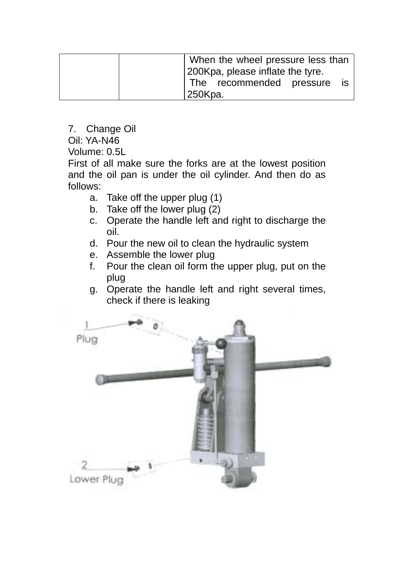| When the wheel pressure less than<br>200Kpa, please inflate the tyre. |  |  |  |  |
|-----------------------------------------------------------------------|--|--|--|--|
| The recommended pressure<br>is<br>250Kpa.                             |  |  |  |  |

7. Change Oil

Oil: YA-N46

Volume: 0.5L

First of all make sure the forks are at the lowest position and the oil pan is under the oil cylinder. And then do as follows:

- a. Take off the upper plug (1)
- b. Take off the lower plug (2)
- c. Operate the handle left and right to discharge the oil.
- d. Pour the new oil to clean the hydraulic system
- e. Assemble the lower plug
- f. Pour the clean oil form the upper plug, put on the plug
- g. Operate the handle left and right several times, check if there is leaking

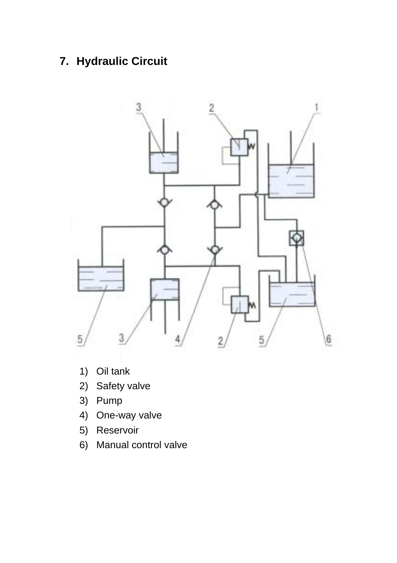## **7. Hydraulic Circuit**



- 1) Oil tank
- 2) Safety valve
- 3) Pump
- 4) One-way valve
- 5) Reservoir
- 6) Manual control valve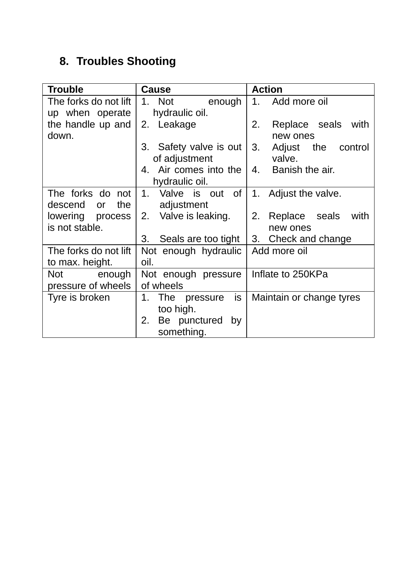## **8. Troubles Shooting**

| <b>Trouble</b>          | Cause                     | <b>Action</b>            |  |
|-------------------------|---------------------------|--------------------------|--|
| The forks do not lift I | 1. Not<br>enough          | Add more oil<br>1.       |  |
| up when operate         | hydraulic oil.            |                          |  |
| the handle up and       | 2. Leakage                | 2.<br>Replace seals with |  |
| down.                   |                           | new ones                 |  |
|                         | 3. Safety valve is out    | 3.<br>Adjust the control |  |
|                         | of adjustment             | valve.                   |  |
|                         | 4. Air comes into the     | 4. Banish the air.       |  |
|                         | hydraulic oil.            |                          |  |
| The forks do not        | 1. Valve is out of        | 1. Adjust the valve.     |  |
| the I<br>descend<br>or  | adjustment                |                          |  |
| lowering process        | 2. Valve is leaking.      | 2. Replace seals<br>with |  |
| is not stable.          |                           | new ones                 |  |
|                         | 3.<br>Seals are too tight | 3. Check and change      |  |
| The forks do not lift   | Not enough hydraulic      | Add more oil             |  |
| to max. height.         | oil.                      |                          |  |
| Not enough              | Not enough pressure       | Inflate to 250KPa        |  |
| pressure of wheels      | of wheels                 |                          |  |
| Tyre is broken          | is<br>1. The pressure     | Maintain or change tyres |  |
|                         | too high.                 |                          |  |
|                         | Be punctured<br>2.<br>by  |                          |  |
|                         | something.                |                          |  |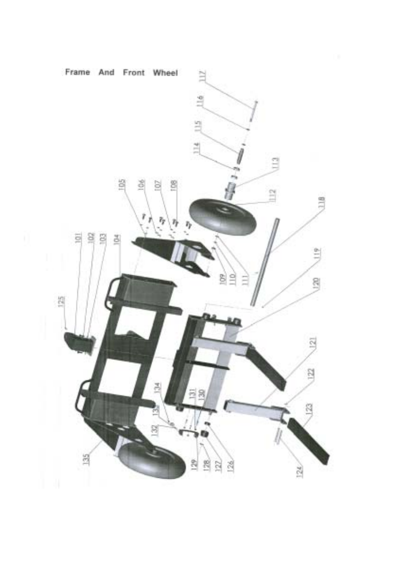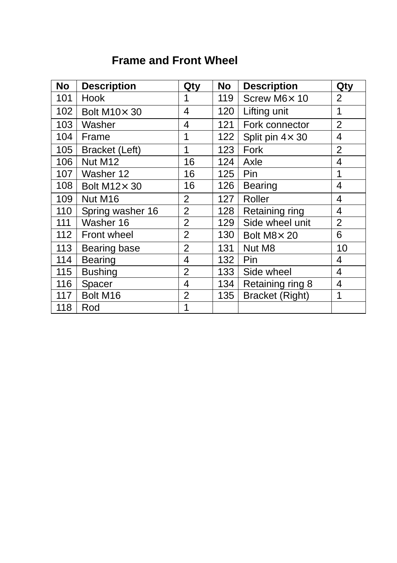## **Frame and Front Wheel**

| <b>No</b> | <b>Description</b> | Qty            | <b>No</b> | <b>Description</b>      | Qty            |
|-----------|--------------------|----------------|-----------|-------------------------|----------------|
| 101       | Hook               | 1              | 119       | Screw M6× 10            | 2              |
| 102       | Bolt M10× 30       | 4              | 120       | Lifting unit            | 1              |
| 103       | Washer             | 4              | 121       | Fork connector          | $\overline{2}$ |
| 104       | Frame              | 1              | 122       | Split pin $4 \times 30$ | 4              |
| 105       | Bracket (Left)     | 1              | 123       | Fork                    | $\overline{2}$ |
| 106       | Nut M12            | 16             | 124       | Axle                    | 4              |
| 107       | Washer 12          | 16             | 125       | Pin                     | 1              |
| 108       | Bolt M12× 30       | 16             | 126       | Bearing                 | 4              |
| 109       | Nut M16            | 2              | 127       | Roller                  | 4              |
| 110       | Spring washer 16   | $\overline{2}$ | 128       | Retaining ring          | 4              |
| 111       | Washer 16          | $\overline{2}$ | 129       | Side wheel unit         | $\overline{2}$ |
| 112       | Front wheel        | 2              | 130       | Bolt M8× 20             | 6              |
| 113       | Bearing base       | $\overline{2}$ | 131       | Nut M8                  | 10             |
| 114       | Bearing            | $\overline{4}$ | 132       | Pin                     | 4              |
| 115       | <b>Bushing</b>     | 2              | 133       | Side wheel              | 4              |
| 116       | Spacer             | 4              | 134       | Retaining ring 8        | 4              |
| 117       | Bolt M16           | 2              | 135       | Bracket (Right)         | 1              |
| 118       | Rod                | 1              |           |                         |                |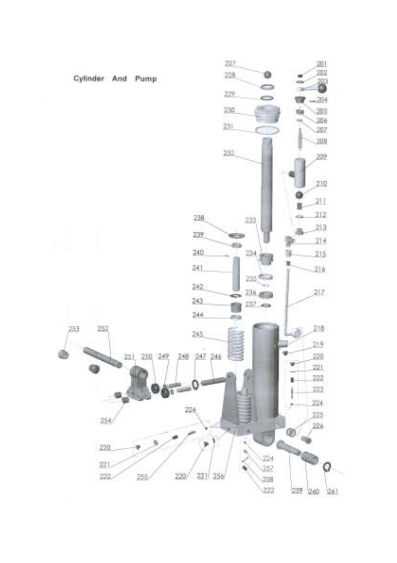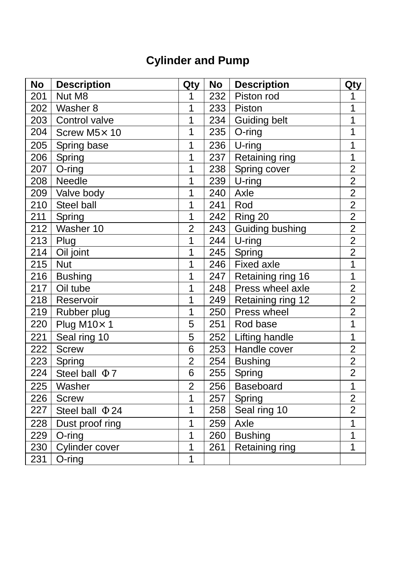# **Cylinder and Pump**

| <b>No</b> | <b>Description</b>           | Qty            | No  | <b>Description</b>  | Qty            |
|-----------|------------------------------|----------------|-----|---------------------|----------------|
| 201       | Nut M8                       | 1              | 232 | Piston rod          | 1              |
| 202       | Washer 8                     | 1              | 233 | Piston              | 1              |
| 203       | Control valve                | 1              | 234 | <b>Guiding belt</b> | $\overline{1}$ |
| 204       | Screw M5× 10                 | 1              | 235 | O-ring              | 1              |
| 205       | Spring base                  | 1              | 236 | $U$ -ring           | 1              |
| 206       | Spring                       | 1              | 237 | Retaining ring      | $\overline{1}$ |
| 207       | O-ring                       | 1              | 238 | Spring cover        | $\overline{2}$ |
| 208       | Needle                       | 1              | 239 | $U$ -ring           | $\overline{2}$ |
|           | 209 Valve body               | 1              | 240 | Axle                | $\overline{2}$ |
| 210       | Steel ball                   | $\mathbf{1}$   | 241 | Rod                 | $\overline{2}$ |
| 211       | Spring                       | $\mathbf{1}$   | 242 | Ring 20             | $\overline{2}$ |
| 212       | Washer 10                    | $\overline{2}$ | 243 | Guiding bushing     | $\overline{2}$ |
|           | $213$ Plug                   | 1              |     | $244$ U-ring        | $\overline{2}$ |
| 214       | Oil joint                    | 1              | 245 | Spring              | $\overline{2}$ |
| 215       | <b>Nut</b>                   | $\overline{1}$ | 246 | Fixed axle          | $\overline{1}$ |
| 216       | <b>Bushing</b>               | 1              | 247 | Retaining ring 16   | $\overline{1}$ |
| 217       | Oil tube                     | 1              | 248 | Press wheel axle    | $\overline{2}$ |
| 218       | Reservoir                    | 1              | 249 | Retaining ring 12   | $\overline{2}$ |
| 219       | Rubber plug                  | 1              | 250 | Press wheel         | $\overline{2}$ |
| 220       | Plug M10×1                   | 5              | 251 | Rod base            | 1              |
| 221       | Seal ring 10                 | 5              | 252 | Lifting handle      | 1              |
| 222       | <b>Screw</b>                 | 6              | 253 | Handle cover        | $\overline{2}$ |
| 223       | Spring                       | $\overline{2}$ | 254 | <b>Bushing</b>      | $\overline{2}$ |
| 224       | $\overline{7}$<br>Steel ball | 6              | 255 | Spring              | $\overline{2}$ |
| 225       | Washer                       | $\overline{2}$ | 256 | Baseboard           | $\overline{1}$ |
| 226       | <b>Screw</b>                 | 1              | 257 | Spring              | $\overline{2}$ |
| 227       | Steel ball<br>24             | $\mathbf{1}$   | 258 | Seal ring 10        | $\overline{2}$ |
| 228       | Dust proof ring              | 1              | 259 | Axle                | 1              |
| 229       | $O$ -ring                    | $\overline{1}$ | 260 | <b>Bushing</b>      | $\overline{1}$ |
| 230       | Cylinder cover               | 1              | 261 | Retaining ring      | $\overline{1}$ |
| 231       | O-ring                       | $\overline{1}$ |     |                     |                |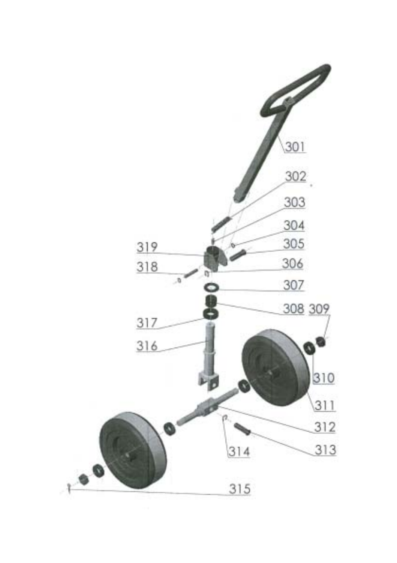